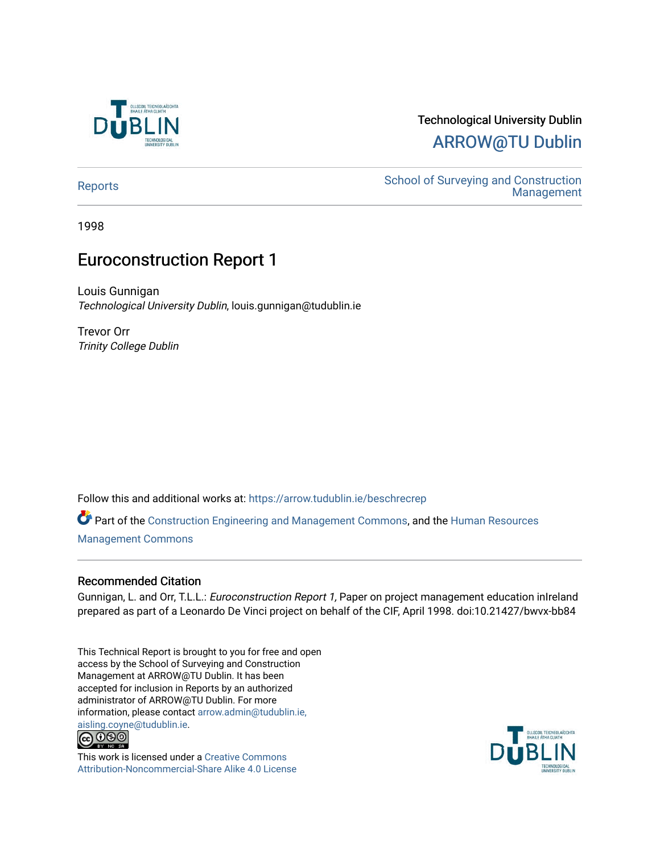

# Technological University Dublin [ARROW@TU Dublin](https://arrow.tudublin.ie/)

[Reports](https://arrow.tudublin.ie/beschrecrep) Reports Accounts School of Surveying and Construction<br>Management [Management](https://arrow.tudublin.ie/beschrec) 

1998

# Euroconstruction Report 1

Louis Gunnigan Technological University Dublin, louis.gunnigan@tudublin.ie

Trevor Orr Trinity College Dublin

Follow this and additional works at: [https://arrow.tudublin.ie/beschrecrep](https://arrow.tudublin.ie/beschrecrep?utm_source=arrow.tudublin.ie%2Fbeschrecrep%2F8&utm_medium=PDF&utm_campaign=PDFCoverPages) 

Part of the [Construction Engineering and Management Commons](http://network.bepress.com/hgg/discipline/253?utm_source=arrow.tudublin.ie%2Fbeschrecrep%2F8&utm_medium=PDF&utm_campaign=PDFCoverPages), and the [Human Resources](http://network.bepress.com/hgg/discipline/633?utm_source=arrow.tudublin.ie%2Fbeschrecrep%2F8&utm_medium=PDF&utm_campaign=PDFCoverPages)  [Management Commons](http://network.bepress.com/hgg/discipline/633?utm_source=arrow.tudublin.ie%2Fbeschrecrep%2F8&utm_medium=PDF&utm_campaign=PDFCoverPages)

#### Recommended Citation

Gunnigan, L. and Orr, T.L.L.: *Euroconstruction Report 1*, Paper on project management education inIreland prepared as part of a Leonardo De Vinci project on behalf of the CIF, April 1998. doi:10.21427/bwvx-bb84

This Technical Report is brought to you for free and open access by the School of Surveying and Construction Management at ARROW@TU Dublin. It has been accepted for inclusion in Reports by an authorized administrator of ARROW@TU Dublin. For more information, please contact [arrow.admin@tudublin.ie,](mailto:arrow.admin@tudublin.ie,%20aisling.coyne@tudublin.ie)  [aisling.coyne@tudublin.ie.](mailto:arrow.admin@tudublin.ie,%20aisling.coyne@tudublin.ie)<br>© 090



This work is licensed under a [Creative Commons](http://creativecommons.org/licenses/by-nc-sa/4.0/) [Attribution-Noncommercial-Share Alike 4.0 License](http://creativecommons.org/licenses/by-nc-sa/4.0/)

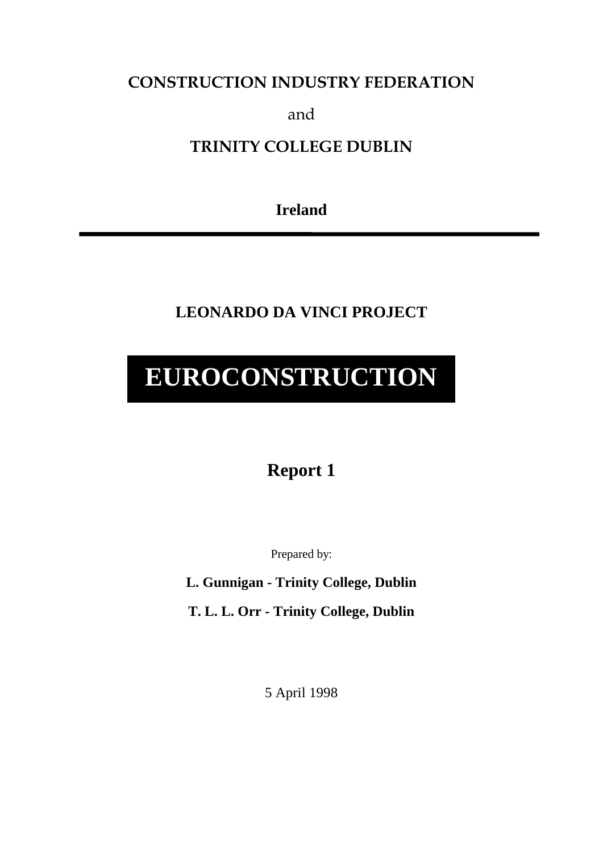# **CONSTRUCTION INDUSTRY FEDERATION**

and

# **TRINITY COLLEGE DUBLIN**

**Ireland**

**LEONARDO DA VINCI PROJECT**

# **EUROCONSTRUCTION**

# **Report 1**

Prepared by:

**L. Gunnigan - Trinity College, Dublin**

**T. L. L. Orr - Trinity College, Dublin**

5 April 1998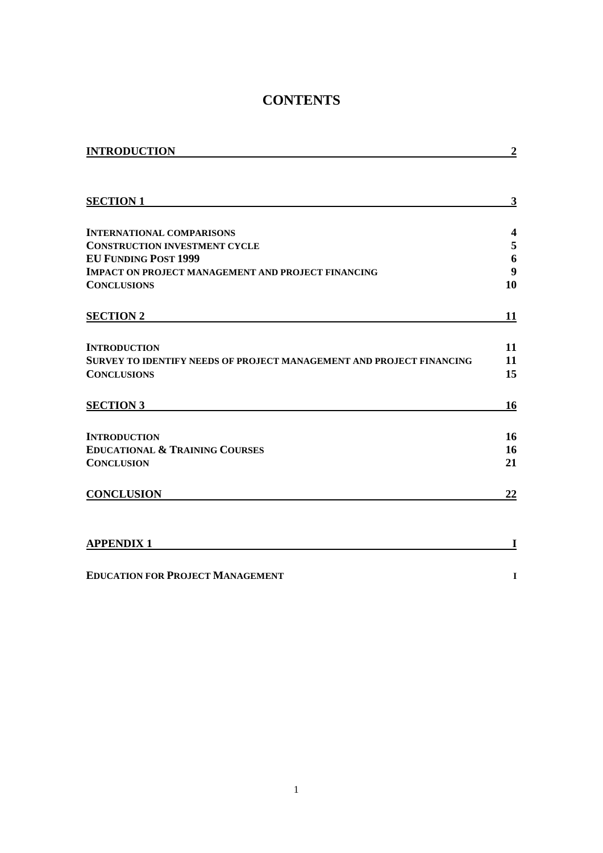# **CONTENTS**

| <b>INTRODUCTION</b>                                                  | $\boldsymbol{2}$ |
|----------------------------------------------------------------------|------------------|
|                                                                      |                  |
| <b>SECTION 1</b>                                                     | $\mathbf{3}$     |
| <b>INTERNATIONAL COMPARISONS</b>                                     | 4                |
| <b>CONSTRUCTION INVESTMENT CYCLE</b>                                 | 5                |
| <b>EU FUNDING POST 1999</b>                                          | 6                |
| <b>IMPACT ON PROJECT MANAGEMENT AND PROJECT FINANCING</b>            | 9                |
| <b>CONCLUSIONS</b>                                                   | 10               |
| <b>SECTION 2</b>                                                     | 11               |
| <b>INTRODUCTION</b>                                                  | 11               |
| SURVEY TO IDENTIFY NEEDS OF PROJECT MANAGEMENT AND PROJECT FINANCING | 11               |
| <b>CONCLUSIONS</b>                                                   | 15               |
| <b>SECTION 3</b>                                                     | 16               |
| <b>INTRODUCTION</b>                                                  | 16               |
| <b>EDUCATIONAL &amp; TRAINING COURSES</b>                            | 16               |
| <b>CONCLUSION</b>                                                    | 21               |
| <b>CONCLUSION</b>                                                    | 22               |
| <b>APPENDIX 1</b>                                                    | I                |

**EDUCATION FOR PROJECT MANAGEMENT I**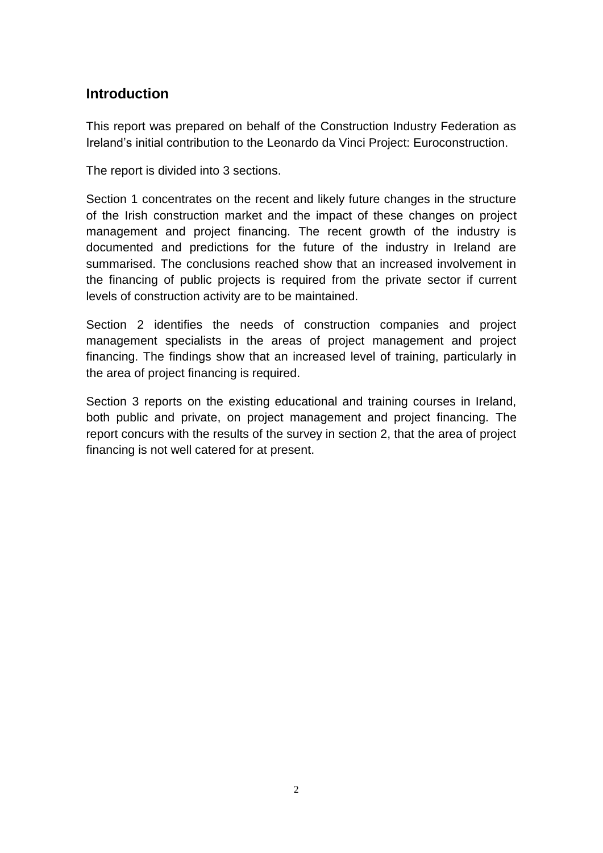# **Introduction**

This report was prepared on behalf of the Construction Industry Federation as Ireland's initial contribution to the Leonardo da Vinci Project: Euroconstruction.

The report is divided into 3 sections.

Section 1 concentrates on the recent and likely future changes in the structure of the Irish construction market and the impact of these changes on project management and project financing. The recent growth of the industry is documented and predictions for the future of the industry in Ireland are summarised. The conclusions reached show that an increased involvement in the financing of public projects is required from the private sector if current levels of construction activity are to be maintained.

Section 2 identifies the needs of construction companies and project management specialists in the areas of project management and project financing. The findings show that an increased level of training, particularly in the area of project financing is required.

Section 3 reports on the existing educational and training courses in Ireland, both public and private, on project management and project financing. The report concurs with the results of the survey in section 2, that the area of project financing is not well catered for at present.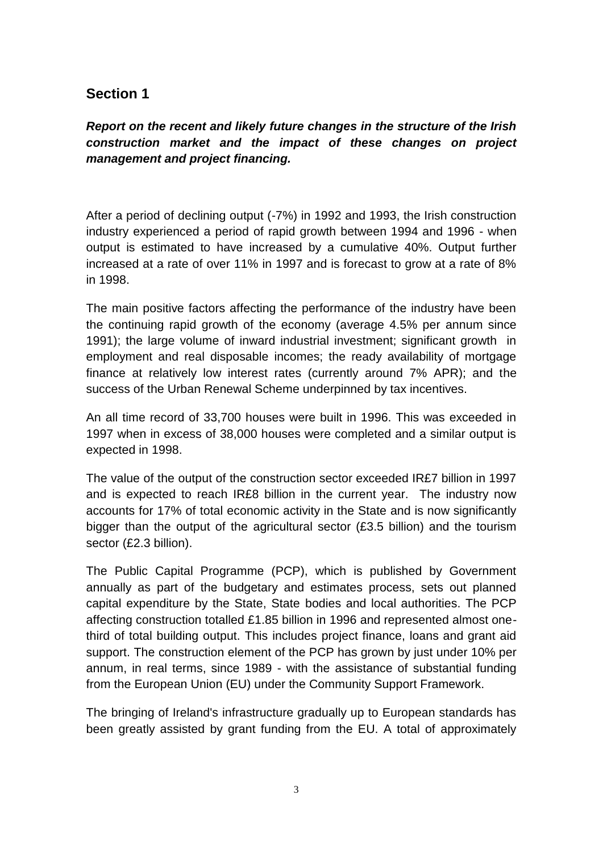# **Section 1**

*Report on the recent and likely future changes in the structure of the Irish construction market and the impact of these changes on project management and project financing.*

After a period of declining output (-7%) in 1992 and 1993, the Irish construction industry experienced a period of rapid growth between 1994 and 1996 - when output is estimated to have increased by a cumulative 40%. Output further increased at a rate of over 11% in 1997 and is forecast to grow at a rate of 8% in 1998.

The main positive factors affecting the performance of the industry have been the continuing rapid growth of the economy (average 4.5% per annum since 1991); the large volume of inward industrial investment; significant growth in employment and real disposable incomes; the ready availability of mortgage finance at relatively low interest rates (currently around 7% APR); and the success of the Urban Renewal Scheme underpinned by tax incentives.

An all time record of 33,700 houses were built in 1996. This was exceeded in 1997 when in excess of 38,000 houses were completed and a similar output is expected in 1998.

The value of the output of the construction sector exceeded IR£7 billion in 1997 and is expected to reach IR£8 billion in the current year. The industry now accounts for 17% of total economic activity in the State and is now significantly bigger than the output of the agricultural sector (£3.5 billion) and the tourism sector (£2.3 billion).

The Public Capital Programme (PCP), which is published by Government annually as part of the budgetary and estimates process, sets out planned capital expenditure by the State, State bodies and local authorities. The PCP affecting construction totalled £1.85 billion in 1996 and represented almost onethird of total building output. This includes project finance, loans and grant aid support. The construction element of the PCP has grown by just under 10% per annum, in real terms, since 1989 - with the assistance of substantial funding from the European Union (EU) under the Community Support Framework.

The bringing of Ireland's infrastructure gradually up to European standards has been greatly assisted by grant funding from the EU. A total of approximately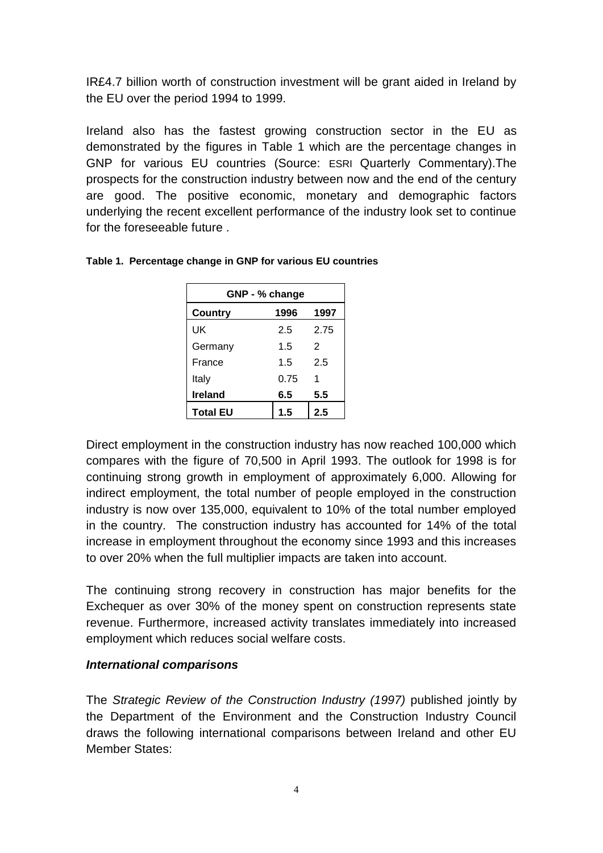IR£4.7 billion worth of construction investment will be grant aided in Ireland by the EU over the period 1994 to 1999.

Ireland also has the fastest growing construction sector in the EU as demonstrated by the figures in Table 1 which are the percentage changes in GNP for various EU countries (Source: ESRI Quarterly Commentary).The prospects for the construction industry between now and the end of the century are good. The positive economic, monetary and demographic factors underlying the recent excellent performance of the industry look set to continue for the foreseeable future .

| GNP - % change  |      |      |
|-----------------|------|------|
| <b>Country</b>  | 1996 | 1997 |
| UK              | 25   | 2.75 |
| Germany         | 1.5  | 2    |
| France          | 1.5  | 2.5  |
| Italy           | 0.75 | 1    |
| <b>Ireland</b>  | 6.5  | 5.5  |
| <b>Total EU</b> | 1.5  | 2.5  |

#### **Table 1. Percentage change in GNP for various EU countries**

Direct employment in the construction industry has now reached 100,000 which compares with the figure of 70,500 in April 1993. The outlook for 1998 is for continuing strong growth in employment of approximately 6,000. Allowing for indirect employment, the total number of people employed in the construction industry is now over 135,000, equivalent to 10% of the total number employed in the country. The construction industry has accounted for 14% of the total increase in employment throughout the economy since 1993 and this increases to over 20% when the full multiplier impacts are taken into account.

The continuing strong recovery in construction has major benefits for the Exchequer as over 30% of the money spent on construction represents state revenue. Furthermore, increased activity translates immediately into increased employment which reduces social welfare costs.

#### *International comparisons*

The *Strategic Review of the Construction Industry (1997)* published jointly by the Department of the Environment and the Construction Industry Council draws the following international comparisons between Ireland and other EU Member States: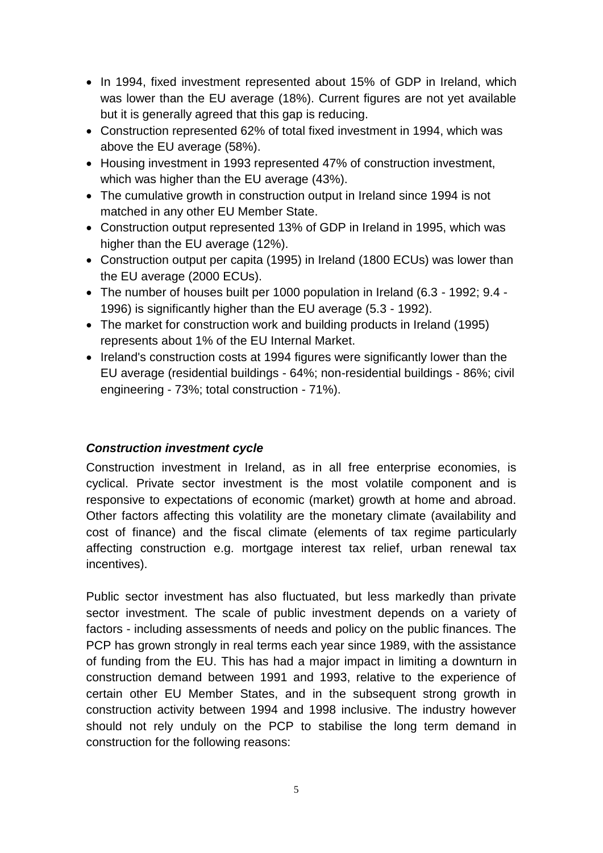- In 1994, fixed investment represented about 15% of GDP in Ireland, which was lower than the EU average (18%). Current figures are not yet available but it is generally agreed that this gap is reducing.
- Construction represented 62% of total fixed investment in 1994, which was above the EU average (58%).
- Housing investment in 1993 represented 47% of construction investment, which was higher than the EU average (43%).
- The cumulative growth in construction output in Ireland since 1994 is not matched in any other EU Member State.
- Construction output represented 13% of GDP in Ireland in 1995, which was higher than the EU average (12%).
- Construction output per capita (1995) in Ireland (1800 ECUs) was lower than the EU average (2000 ECUs).
- The number of houses built per 1000 population in Ireland (6.3 1992; 9.4 1996) is significantly higher than the EU average (5.3 - 1992).
- The market for construction work and building products in Ireland (1995) represents about 1% of the EU Internal Market.
- Ireland's construction costs at 1994 figures were significantly lower than the EU average (residential buildings - 64%; non-residential buildings - 86%; civil engineering - 73%; total construction - 71%).

# *Construction investment cycle*

Construction investment in Ireland, as in all free enterprise economies, is cyclical. Private sector investment is the most volatile component and is responsive to expectations of economic (market) growth at home and abroad. Other factors affecting this volatility are the monetary climate (availability and cost of finance) and the fiscal climate (elements of tax regime particularly affecting construction e.g. mortgage interest tax relief, urban renewal tax incentives).

Public sector investment has also fluctuated, but less markedly than private sector investment. The scale of public investment depends on a variety of factors - including assessments of needs and policy on the public finances. The PCP has grown strongly in real terms each year since 1989, with the assistance of funding from the EU. This has had a major impact in limiting a downturn in construction demand between 1991 and 1993, relative to the experience of certain other EU Member States, and in the subsequent strong growth in construction activity between 1994 and 1998 inclusive. The industry however should not rely unduly on the PCP to stabilise the long term demand in construction for the following reasons: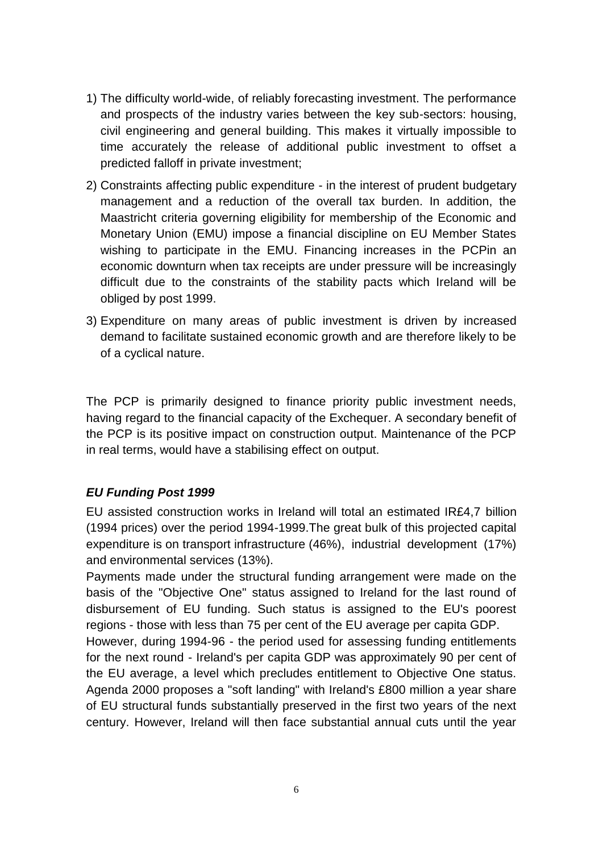- 1) The difficulty world-wide, of reliably forecasting investment. The performance and prospects of the industry varies between the key sub-sectors: housing, civil engineering and general building. This makes it virtually impossible to time accurately the release of additional public investment to offset a predicted falloff in private investment;
- 2) Constraints affecting public expenditure in the interest of prudent budgetary management and a reduction of the overall tax burden. In addition, the Maastricht criteria governing eligibility for membership of the Economic and Monetary Union (EMU) impose a financial discipline on EU Member States wishing to participate in the EMU. Financing increases in the PCPin an economic downturn when tax receipts are under pressure will be increasingly difficult due to the constraints of the stability pacts which Ireland will be obliged by post 1999.
- 3) Expenditure on many areas of public investment is driven by increased demand to facilitate sustained economic growth and are therefore likely to be of a cyclical nature.

The PCP is primarily designed to finance priority public investment needs, having regard to the financial capacity of the Exchequer. A secondary benefit of the PCP is its positive impact on construction output. Maintenance of the PCP in real terms, would have a stabilising effect on output.

# *EU Funding Post 1999*

EU assisted construction works in Ireland will total an estimated IR£4,7 billion (1994 prices) over the period 1994-1999.The great bulk of this projected capital expenditure is on transport infrastructure (46%), industrial development (17%) and environmental services (13%).

Payments made under the structural funding arrangement were made on the basis of the "Objective One" status assigned to Ireland for the last round of disbursement of EU funding. Such status is assigned to the EU's poorest regions - those with less than 75 per cent of the EU average per capita GDP.

However, during 1994-96 - the period used for assessing funding entitlements for the next round - Ireland's per capita GDP was approximately 90 per cent of the EU average, a level which precludes entitlement to Objective One status. Agenda 2000 proposes a "soft landing" with Ireland's £800 million a year share of EU structural funds substantially preserved in the first two years of the next century. However, Ireland will then face substantial annual cuts until the year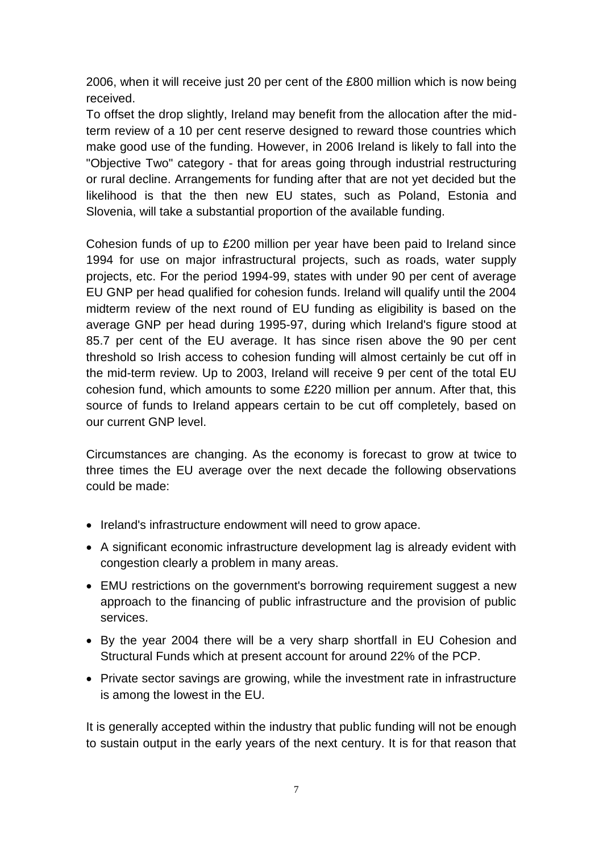2006, when it will receive just 20 per cent of the £800 million which is now being received.

To offset the drop slightly, Ireland may benefit from the allocation after the midterm review of a 10 per cent reserve designed to reward those countries which make good use of the funding. However, in 2006 Ireland is likely to fall into the "Objective Two" category - that for areas going through industrial restructuring or rural decline. Arrangements for funding after that are not yet decided but the likelihood is that the then new EU states, such as Poland, Estonia and Slovenia, will take a substantial proportion of the available funding.

Cohesion funds of up to £200 million per year have been paid to Ireland since 1994 for use on major infrastructural projects, such as roads, water supply projects, etc. For the period 1994-99, states with under 90 per cent of average EU GNP per head qualified for cohesion funds. Ireland will qualify until the 2004 midterm review of the next round of EU funding as eligibility is based on the average GNP per head during 1995-97, during which Ireland's figure stood at 85.7 per cent of the EU average. It has since risen above the 90 per cent threshold so Irish access to cohesion funding will almost certainly be cut off in the mid-term review. Up to 2003, Ireland will receive 9 per cent of the total EU cohesion fund, which amounts to some £220 million per annum. After that, this source of funds to Ireland appears certain to be cut off completely, based on our current GNP level.

Circumstances are changing. As the economy is forecast to grow at twice to three times the EU average over the next decade the following observations could be made:

- Ireland's infrastructure endowment will need to grow apace.
- A significant economic infrastructure development lag is already evident with congestion clearly a problem in many areas.
- EMU restrictions on the government's borrowing requirement suggest a new approach to the financing of public infrastructure and the provision of public services.
- By the year 2004 there will be a very sharp shortfall in EU Cohesion and Structural Funds which at present account for around 22% of the PCP.
- Private sector savings are growing, while the investment rate in infrastructure is among the lowest in the EU.

It is generally accepted within the industry that public funding will not be enough to sustain output in the early years of the next century. It is for that reason that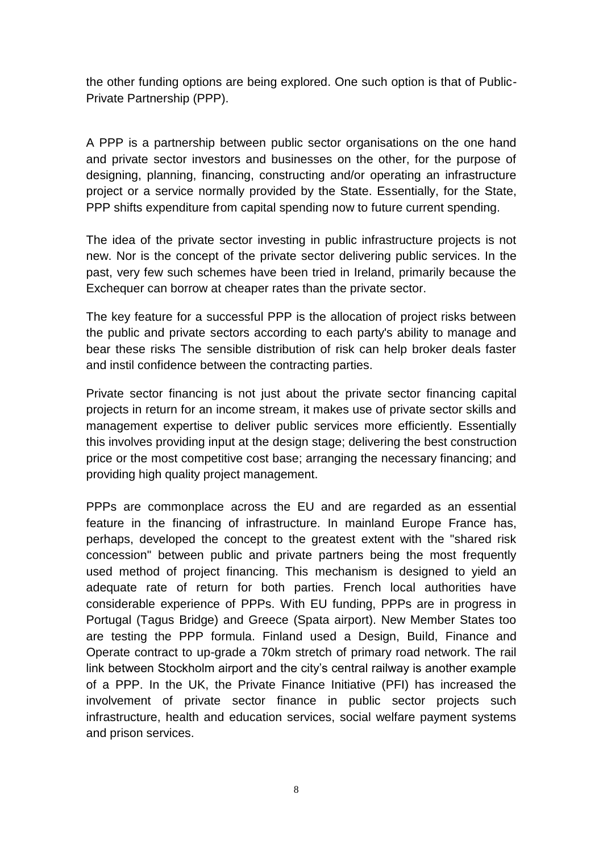the other funding options are being explored. One such option is that of Public-Private Partnership (PPP).

A PPP is a partnership between public sector organisations on the one hand and private sector investors and businesses on the other, for the purpose of designing, planning, financing, constructing and/or operating an infrastructure project or a service normally provided by the State. Essentially, for the State, PPP shifts expenditure from capital spending now to future current spending.

The idea of the private sector investing in public infrastructure projects is not new. Nor is the concept of the private sector delivering public services. In the past, very few such schemes have been tried in Ireland, primarily because the Exchequer can borrow at cheaper rates than the private sector.

The key feature for a successful PPP is the allocation of project risks between the public and private sectors according to each party's ability to manage and bear these risks The sensible distribution of risk can help broker deals faster and instil confidence between the contracting parties.

Private sector financing is not just about the private sector financing capital projects in return for an income stream, it makes use of private sector skills and management expertise to deliver public services more efficiently. Essentially this involves providing input at the design stage; delivering the best construction price or the most competitive cost base; arranging the necessary financing; and providing high quality project management.

PPPs are commonplace across the EU and are regarded as an essential feature in the financing of infrastructure. In mainland Europe France has, perhaps, developed the concept to the greatest extent with the "shared risk concession" between public and private partners being the most frequently used method of project financing. This mechanism is designed to yield an adequate rate of return for both parties. French local authorities have considerable experience of PPPs. With EU funding, PPPs are in progress in Portugal (Tagus Bridge) and Greece (Spata airport). New Member States too are testing the PPP formula. Finland used a Design, Build, Finance and Operate contract to up-grade a 70km stretch of primary road network. The rail link between Stockholm airport and the city's central railway is another example of a PPP. In the UK, the Private Finance Initiative (PFI) has increased the involvement of private sector finance in public sector projects such infrastructure, health and education services, social welfare payment systems and prison services.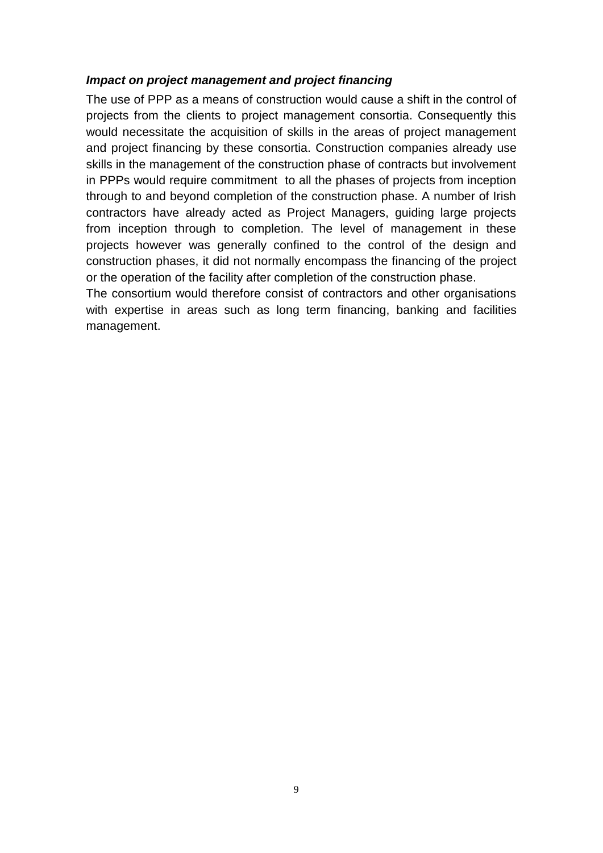#### *Impact on project management and project financing*

The use of PPP as a means of construction would cause a shift in the control of projects from the clients to project management consortia. Consequently this would necessitate the acquisition of skills in the areas of project management and project financing by these consortia. Construction companies already use skills in the management of the construction phase of contracts but involvement in PPPs would require commitment to all the phases of projects from inception through to and beyond completion of the construction phase. A number of Irish contractors have already acted as Project Managers, guiding large projects from inception through to completion. The level of management in these projects however was generally confined to the control of the design and construction phases, it did not normally encompass the financing of the project or the operation of the facility after completion of the construction phase.

The consortium would therefore consist of contractors and other organisations with expertise in areas such as long term financing, banking and facilities management.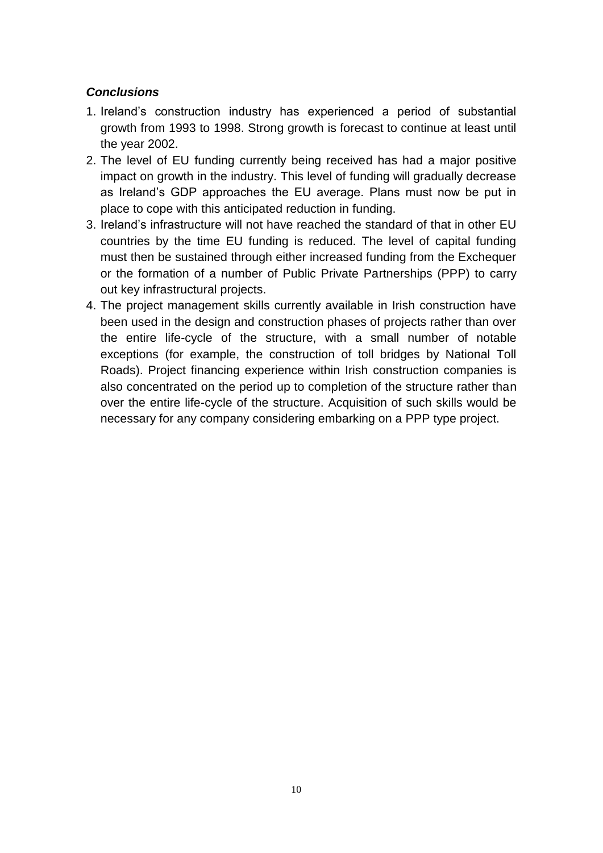# *Conclusions*

- 1. Ireland's construction industry has experienced a period of substantial growth from 1993 to 1998. Strong growth is forecast to continue at least until the year 2002.
- 2. The level of EU funding currently being received has had a major positive impact on growth in the industry. This level of funding will gradually decrease as Ireland's GDP approaches the EU average. Plans must now be put in place to cope with this anticipated reduction in funding.
- 3. Ireland's infrastructure will not have reached the standard of that in other EU countries by the time EU funding is reduced. The level of capital funding must then be sustained through either increased funding from the Exchequer or the formation of a number of Public Private Partnerships (PPP) to carry out key infrastructural projects.
- 4. The project management skills currently available in Irish construction have been used in the design and construction phases of projects rather than over the entire life-cycle of the structure, with a small number of notable exceptions (for example, the construction of toll bridges by National Toll Roads). Project financing experience within Irish construction companies is also concentrated on the period up to completion of the structure rather than over the entire life-cycle of the structure. Acquisition of such skills would be necessary for any company considering embarking on a PPP type project.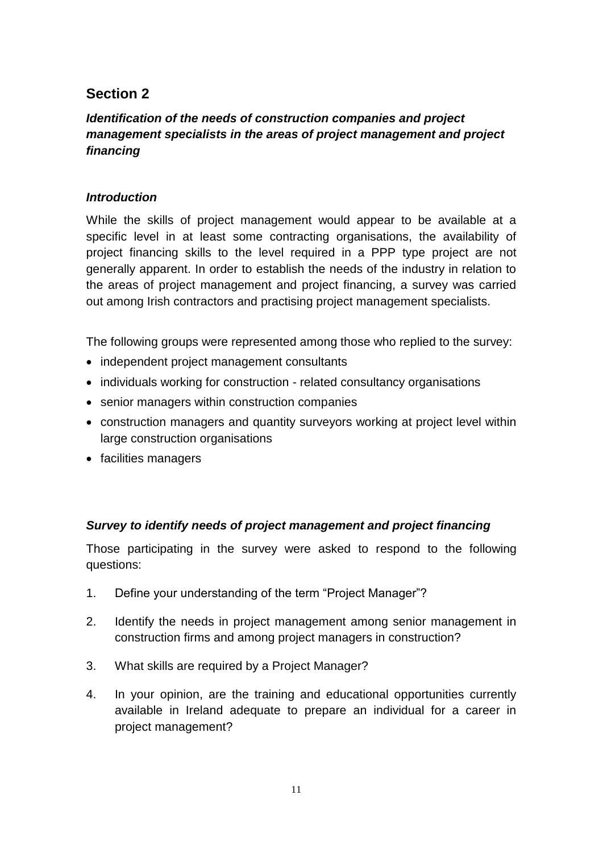# **Section 2**

# *Identification of the needs of construction companies and project management specialists in the areas of project management and project financing*

# *Introduction*

While the skills of project management would appear to be available at a specific level in at least some contracting organisations, the availability of project financing skills to the level required in a PPP type project are not generally apparent. In order to establish the needs of the industry in relation to the areas of project management and project financing, a survey was carried out among Irish contractors and practising project management specialists.

The following groups were represented among those who replied to the survey:

- independent project management consultants
- individuals working for construction related consultancy organisations
- senior managers within construction companies
- construction managers and quantity surveyors working at project level within large construction organisations
- facilities managers

# *Survey to identify needs of project management and project financing*

Those participating in the survey were asked to respond to the following questions:

- 1. Define your understanding of the term "Project Manager"?
- 2. Identify the needs in project management among senior management in construction firms and among project managers in construction?
- 3. What skills are required by a Project Manager?
- 4. In your opinion, are the training and educational opportunities currently available in Ireland adequate to prepare an individual for a career in project management?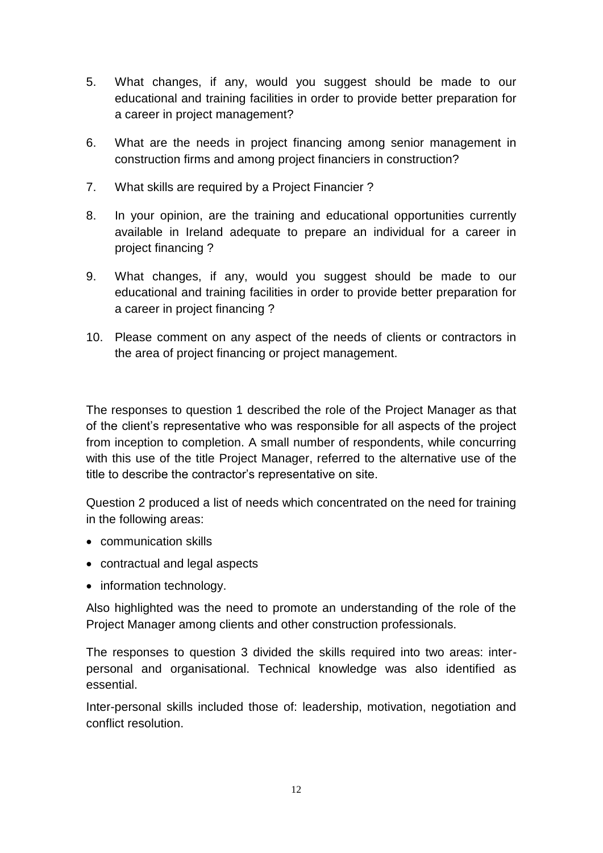- 5. What changes, if any, would you suggest should be made to our educational and training facilities in order to provide better preparation for a career in project management?
- 6. What are the needs in project financing among senior management in construction firms and among project financiers in construction?
- 7. What skills are required by a Project Financier ?
- 8. In your opinion, are the training and educational opportunities currently available in Ireland adequate to prepare an individual for a career in project financing ?
- 9. What changes, if any, would you suggest should be made to our educational and training facilities in order to provide better preparation for a career in project financing ?
- 10. Please comment on any aspect of the needs of clients or contractors in the area of project financing or project management.

The responses to question 1 described the role of the Project Manager as that of the client's representative who was responsible for all aspects of the project from inception to completion. A small number of respondents, while concurring with this use of the title Project Manager, referred to the alternative use of the title to describe the contractor's representative on site.

Question 2 produced a list of needs which concentrated on the need for training in the following areas:

- communication skills
- contractual and legal aspects
- information technology.

Also highlighted was the need to promote an understanding of the role of the Project Manager among clients and other construction professionals.

The responses to question 3 divided the skills required into two areas: interpersonal and organisational. Technical knowledge was also identified as essential.

Inter-personal skills included those of: leadership, motivation, negotiation and conflict resolution.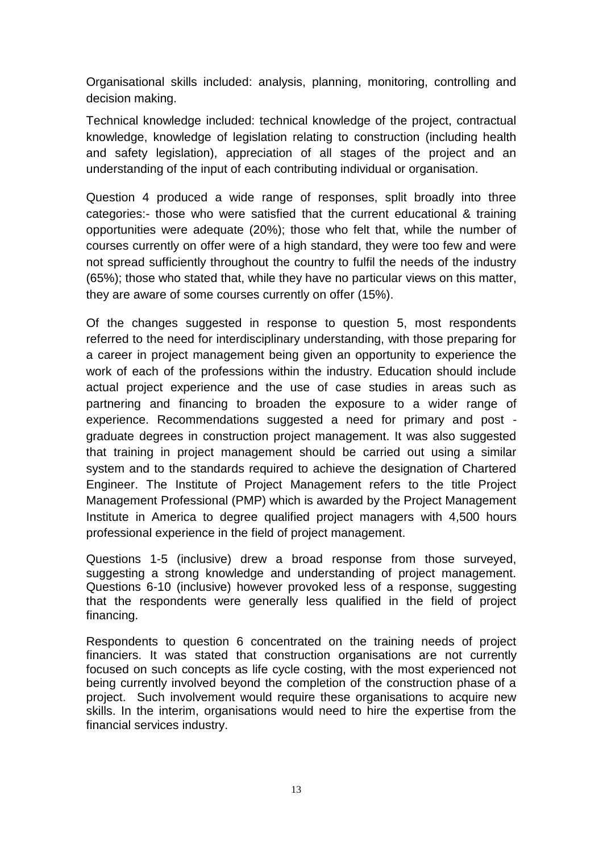Organisational skills included: analysis, planning, monitoring, controlling and decision making.

Technical knowledge included: technical knowledge of the project, contractual knowledge, knowledge of legislation relating to construction (including health and safety legislation), appreciation of all stages of the project and an understanding of the input of each contributing individual or organisation.

Question 4 produced a wide range of responses, split broadly into three categories:- those who were satisfied that the current educational & training opportunities were adequate (20%); those who felt that, while the number of courses currently on offer were of a high standard, they were too few and were not spread sufficiently throughout the country to fulfil the needs of the industry (65%); those who stated that, while they have no particular views on this matter, they are aware of some courses currently on offer (15%).

Of the changes suggested in response to question 5, most respondents referred to the need for interdisciplinary understanding, with those preparing for a career in project management being given an opportunity to experience the work of each of the professions within the industry. Education should include actual project experience and the use of case studies in areas such as partnering and financing to broaden the exposure to a wider range of experience. Recommendations suggested a need for primary and post graduate degrees in construction project management. It was also suggested that training in project management should be carried out using a similar system and to the standards required to achieve the designation of Chartered Engineer. The Institute of Project Management refers to the title Project Management Professional (PMP) which is awarded by the Project Management Institute in America to degree qualified project managers with 4,500 hours professional experience in the field of project management.

Questions 1-5 (inclusive) drew a broad response from those surveyed, suggesting a strong knowledge and understanding of project management. Questions 6-10 (inclusive) however provoked less of a response, suggesting that the respondents were generally less qualified in the field of project financing.

Respondents to question 6 concentrated on the training needs of project financiers. It was stated that construction organisations are not currently focused on such concepts as life cycle costing, with the most experienced not being currently involved beyond the completion of the construction phase of a project. Such involvement would require these organisations to acquire new skills. In the interim, organisations would need to hire the expertise from the financial services industry.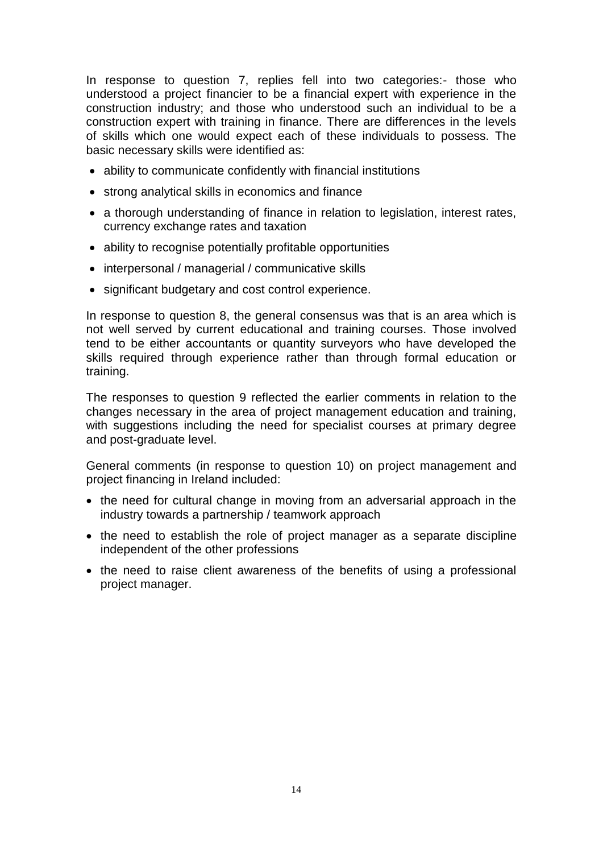In response to question 7, replies fell into two categories:- those who understood a project financier to be a financial expert with experience in the construction industry; and those who understood such an individual to be a construction expert with training in finance. There are differences in the levels of skills which one would expect each of these individuals to possess. The basic necessary skills were identified as:

- ability to communicate confidently with financial institutions
- strong analytical skills in economics and finance
- a thorough understanding of finance in relation to legislation, interest rates, currency exchange rates and taxation
- ability to recognise potentially profitable opportunities
- interpersonal / managerial / communicative skills
- significant budgetary and cost control experience.

In response to question 8, the general consensus was that is an area which is not well served by current educational and training courses. Those involved tend to be either accountants or quantity surveyors who have developed the skills required through experience rather than through formal education or training.

The responses to question 9 reflected the earlier comments in relation to the changes necessary in the area of project management education and training, with suggestions including the need for specialist courses at primary degree and post-graduate level.

General comments (in response to question 10) on project management and project financing in Ireland included:

- the need for cultural change in moving from an adversarial approach in the industry towards a partnership / teamwork approach
- the need to establish the role of project manager as a separate discipline independent of the other professions
- the need to raise client awareness of the benefits of using a professional project manager.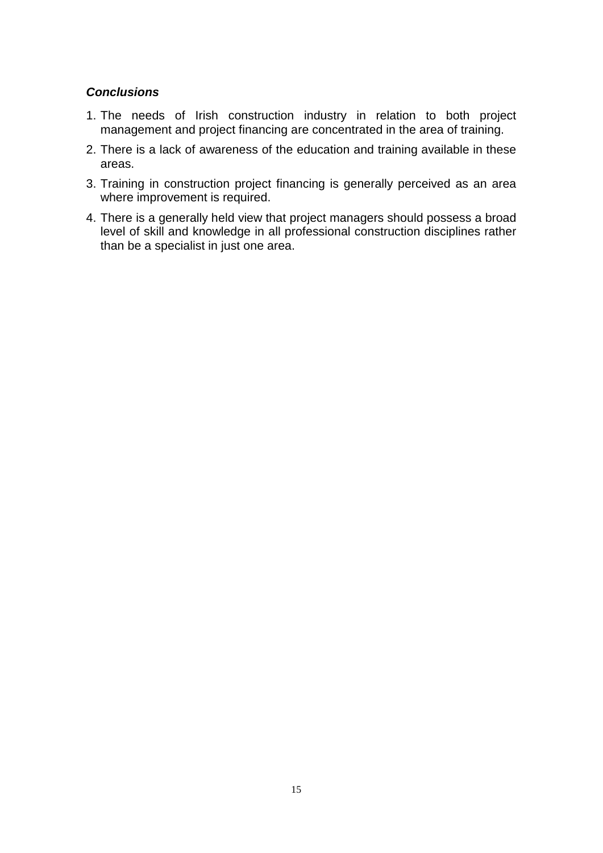### *Conclusions*

- 1. The needs of Irish construction industry in relation to both project management and project financing are concentrated in the area of training.
- 2. There is a lack of awareness of the education and training available in these areas.
- 3. Training in construction project financing is generally perceived as an area where improvement is required.
- 4. There is a generally held view that project managers should possess a broad level of skill and knowledge in all professional construction disciplines rather than be a specialist in just one area.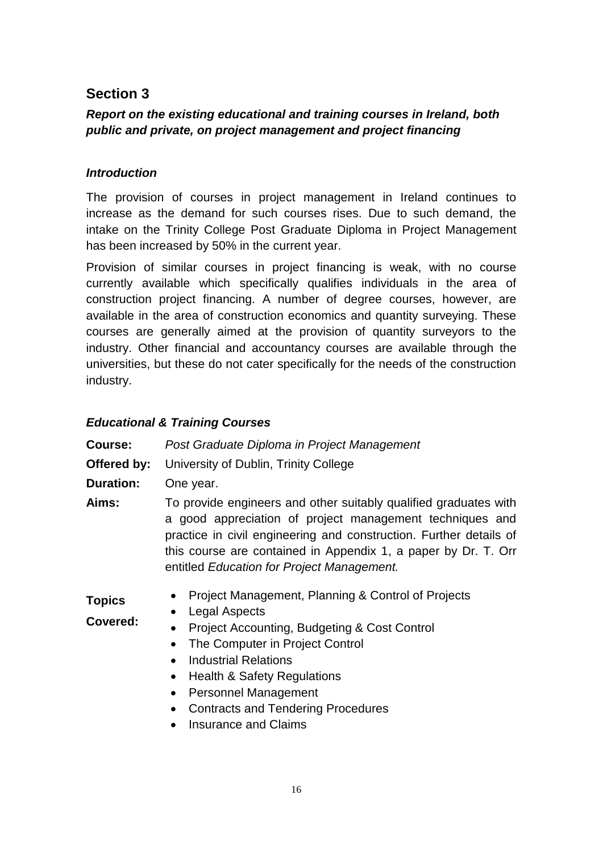# **Section 3**

# *Report on the existing educational and training courses in Ireland, both public and private, on project management and project financing*

# *Introduction*

The provision of courses in project management in Ireland continues to increase as the demand for such courses rises. Due to such demand, the intake on the Trinity College Post Graduate Diploma in Project Management has been increased by 50% in the current year.

Provision of similar courses in project financing is weak, with no course currently available which specifically qualifies individuals in the area of construction project financing. A number of degree courses, however, are available in the area of construction economics and quantity surveying. These courses are generally aimed at the provision of quantity surveyors to the industry. Other financial and accountancy courses are available through the universities, but these do not cater specifically for the needs of the construction industry.

# *Educational & Training Courses*

**Course:** *Post Graduate Diploma in Project Management* **Offered by:** University of Dublin, Trinity College **Duration:** One year. **Aims:** To provide engineers and other suitably qualified graduates with a good appreciation of project management techniques and practice in civil engineering and construction. Further details of this course are contained in Appendix 1, a paper by Dr. T. Orr entitled *Education for Project Management.*

- **Topics**  • Project Management, Planning & Control of Projects
- **Covered:** • Legal Aspects
	- Project Accounting, Budgeting & Cost Control
	- The Computer in Project Control
	- Industrial Relations
	- Health & Safety Regulations
	- Personnel Management
	- Contracts and Tendering Procedures
	- Insurance and Claims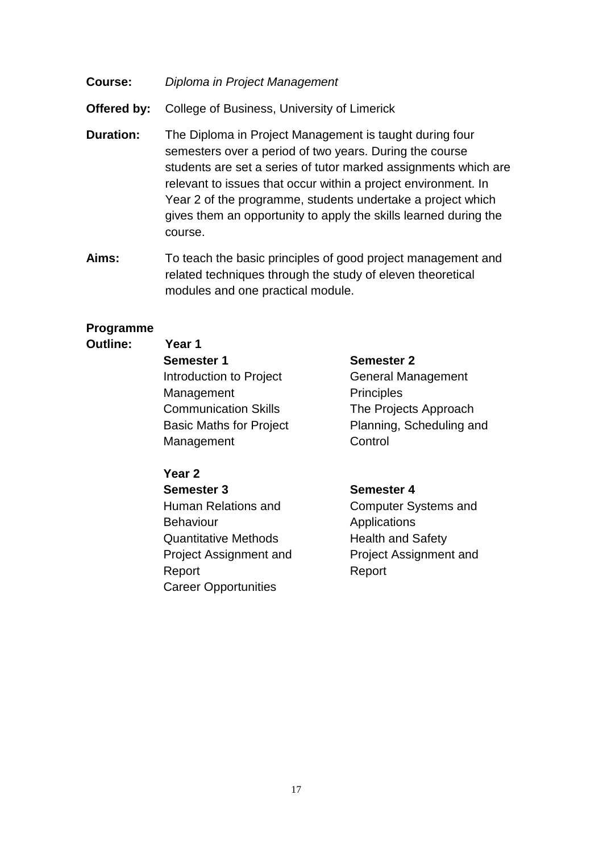- **Course:** *Diploma in Project Management*
- **Offered by:** College of Business, University of Limerick
- **Duration:** The Diploma in Project Management is taught during four semesters over a period of two years. During the course students are set a series of tutor marked assignments which are relevant to issues that occur within a project environment. In Year 2 of the programme, students undertake a project which gives them an opportunity to apply the skills learned during the course.
- **Aims:** To teach the basic principles of good project management and related techniques through the study of eleven theoretical modules and one practical module.

#### **Programme**

#### **Outline: Year 1**

**Semester 1 Semester 2** Introduction to Project Management Communication Skills The Projects Approach Basic Maths for Project Management

#### **Year 2**

**Semester 3 Semester 4** Human Relations and **Behaviour** Quantitative Methods Health and Safety Project Assignment and Report Career Opportunities

General Management **Principles** Planning, Scheduling and **Control** 

Computer Systems and Applications Project Assignment and Report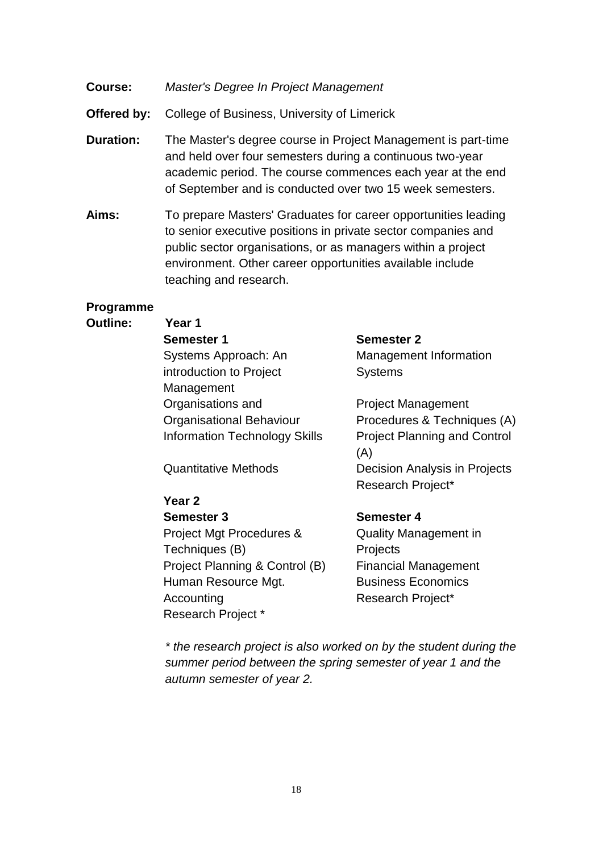- **Course:** *Master's Degree In Project Management*
- **Offered by:** College of Business, University of Limerick
- **Duration:** The Master's degree course in Project Management is part-time and held over four semesters during a continuous two-year academic period. The course commences each year at the end of September and is conducted over two 15 week semesters.
- **Aims:** To prepare Masters' Graduates for career opportunities leading to senior executive positions in private sector companies and public sector organisations, or as managers within a project environment. Other career opportunities available include teaching and research.

#### **Programme**

#### **Outline: Year 1**

| <b>Semester 1</b>                    |
|--------------------------------------|
| Systems Approach: An                 |
| introduction to Project              |
| Management                           |
| Organisations and                    |
| <b>Organisational Behaviour</b>      |
| <b>Information Technology Skills</b> |

#### **Year 2**

**Semester 3 Semester 4** Project Mgt Procedures & Techniques (B) Project Planning & Control (B) Financial Management Human Resource Mgt. Business Economics Accounting Research Project\* Research Project \*

#### **Semester 1 Semester 2**

Management Information **Systems** 

Project Management Procedures & Techniques (A) Project Planning and Control (A) Quantitative Methods Decision Analysis in Projects Research Project\*

Quality Management in **Projects** 

*\* the research project is also worked on by the student during the summer period between the spring semester of year 1 and the autumn semester of year 2.*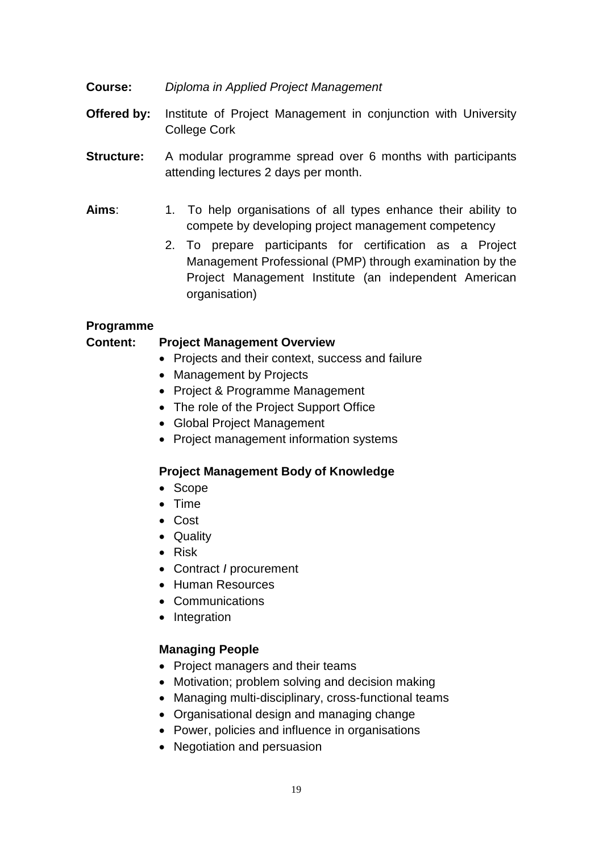- **Course:** *Diploma in Applied Project Management*
- **Offered by:** Institute of Project Management in conjunction with University College Cork
- **Structure:** A modular programme spread over 6 months with participants attending lectures 2 days per month.
- **Aims**: 1. To help organisations of all types enhance their ability to compete by developing project management competency
	- 2. To prepare participants for certification as a Project Management Professional (PMP) through examination by the Project Management Institute (an independent American organisation)

#### **Programme**

### **Content: Project Management Overview**

- Projects and their context, success and failure
- Management by Projects
- Project & Programme Management
- The role of the Project Support Office
- Global Project Management
- Project management information systems

#### **Project Management Body of Knowledge**

- Scope
- Time
- Cost
- Quality
- Risk
- Contract *I* procurement
- Human Resources
- Communications
- Integration

#### **Managing People**

- Project managers and their teams
- Motivation; problem solving and decision making
- Managing multi-disciplinary, cross-functional teams
- Organisational design and managing change
- Power, policies and influence in organisations
- Negotiation and persuasion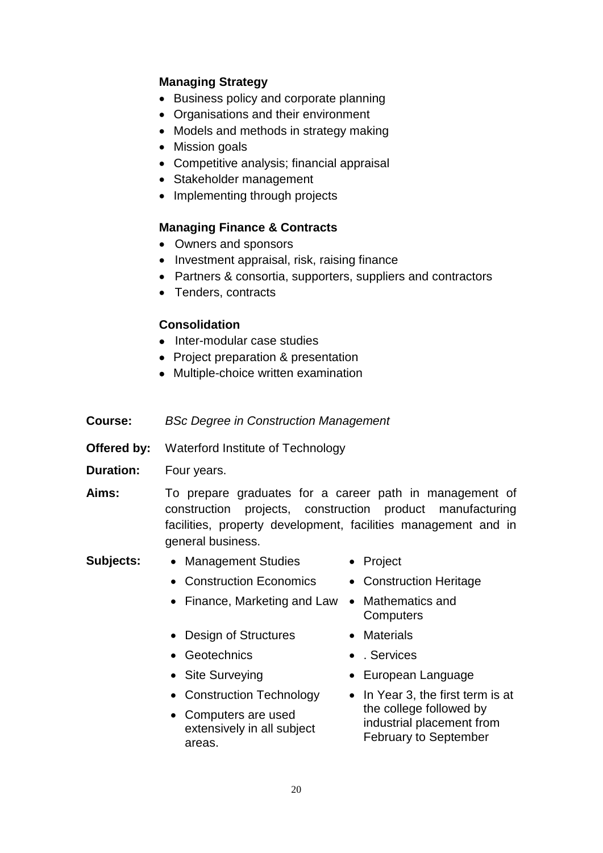### **Managing Strategy**

- Business policy and corporate planning
- Organisations and their environment
- Models and methods in strategy making
- Mission goals
- Competitive analysis; financial appraisal
- Stakeholder management
- Implementing through projects

### **Managing Finance & Contracts**

- Owners and sponsors
- Investment appraisal, risk, raising finance
- Partners & consortia, supporters, suppliers and contractors
- Tenders, contracts

#### **Consolidation**

- Inter-modular case studies
- Project preparation & presentation
- Multiple-choice written examination
- **Course:** *BSc Degree in Construction Management*
- **Offered by:** Waterford Institute of Technology
- **Duration:** Four years.
- **Aims:** To prepare graduates for a career path in management of construction projects, construction product manufacturing facilities, property development, facilities management and in general business.
- **Subjects:** Management Studies Project
	- Construction Economics Construction Heritage
	- Finance, Marketing and Law Mathematics and
	-
	- Design of Structures Materials
	- Geotechnics **. Services**
	-
	- Construction Technology
	- Computers are used extensively in all subject areas.
- 
- **Computers**
- 
- 
- Site Surveying **Calculation Control** European Language
	- In Year 3, the first term is at the college followed by industrial placement from February to September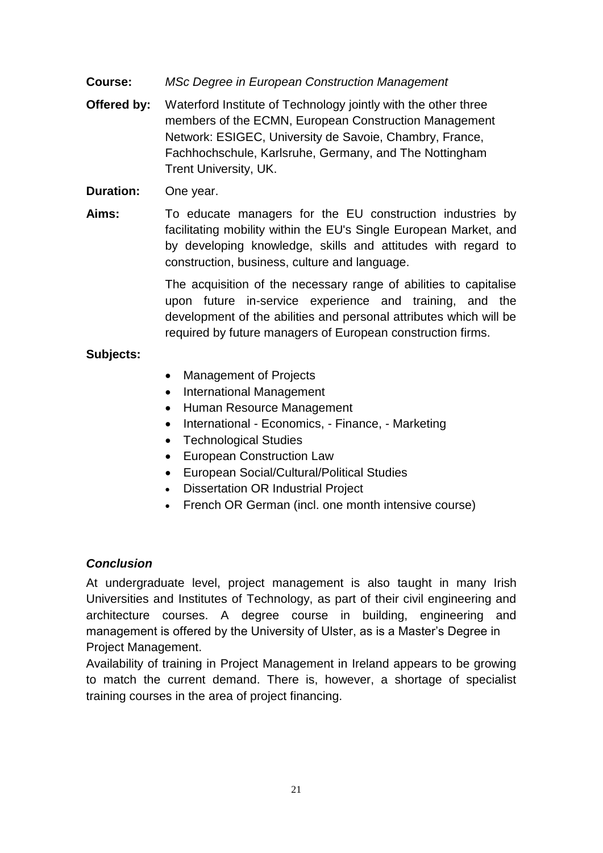**Course:** *MSc Degree in European Construction Management*

- **Offered by:** Waterford Institute of Technology jointly with the other three members of the ECMN, European Construction Management Network: ESIGEC, University de Savoie, Chambry, France, Fachhochschule, Karlsruhe, Germany, and The Nottingham Trent University, UK.
- **Duration:** One year.
- **Aims:** To educate managers for the EU construction industries by facilitating mobility within the EU's Single European Market, and by developing knowledge, skills and attitudes with regard to construction, business, culture and language.

The acquisition of the necessary range of abilities to capitalise upon future in-service experience and training, and the development of the abilities and personal attributes which will be required by future managers of European construction firms.

# **Subjects:**

- Management of Projects
- International Management
- Human Resource Management
- International Economics, Finance, Marketing
- Technological Studies
- European Construction Law
- European Social/Cultural/Political Studies
- Dissertation OR Industrial Project
- French OR German (incl. one month intensive course)

# *Conclusion*

At undergraduate level, project management is also taught in many Irish Universities and Institutes of Technology, as part of their civil engineering and architecture courses. A degree course in building, engineering and management is offered by the University of Ulster, as is a Master's Degree in Project Management.

Availability of training in Project Management in Ireland appears to be growing to match the current demand. There is, however, a shortage of specialist training courses in the area of project financing.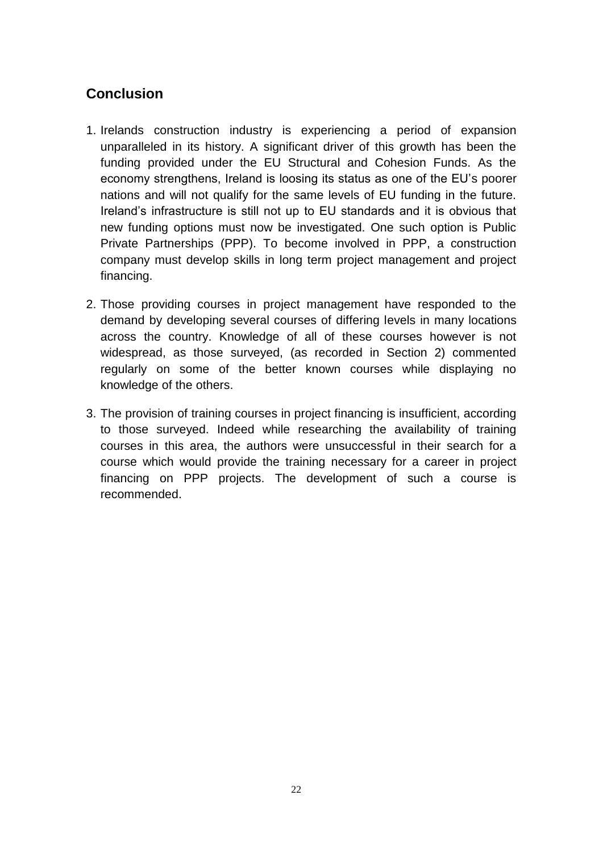# **Conclusion**

- 1. Irelands construction industry is experiencing a period of expansion unparalleled in its history. A significant driver of this growth has been the funding provided under the EU Structural and Cohesion Funds. As the economy strengthens, Ireland is loosing its status as one of the EU's poorer nations and will not qualify for the same levels of EU funding in the future. Ireland's infrastructure is still not up to EU standards and it is obvious that new funding options must now be investigated. One such option is Public Private Partnerships (PPP). To become involved in PPP, a construction company must develop skills in long term project management and project financing.
- 2. Those providing courses in project management have responded to the demand by developing several courses of differing levels in many locations across the country. Knowledge of all of these courses however is not widespread, as those surveyed, (as recorded in Section 2) commented regularly on some of the better known courses while displaying no knowledge of the others.
- 3. The provision of training courses in project financing is insufficient, according to those surveyed. Indeed while researching the availability of training courses in this area, the authors were unsuccessful in their search for a course which would provide the training necessary for a career in project financing on PPP projects. The development of such a course is recommended.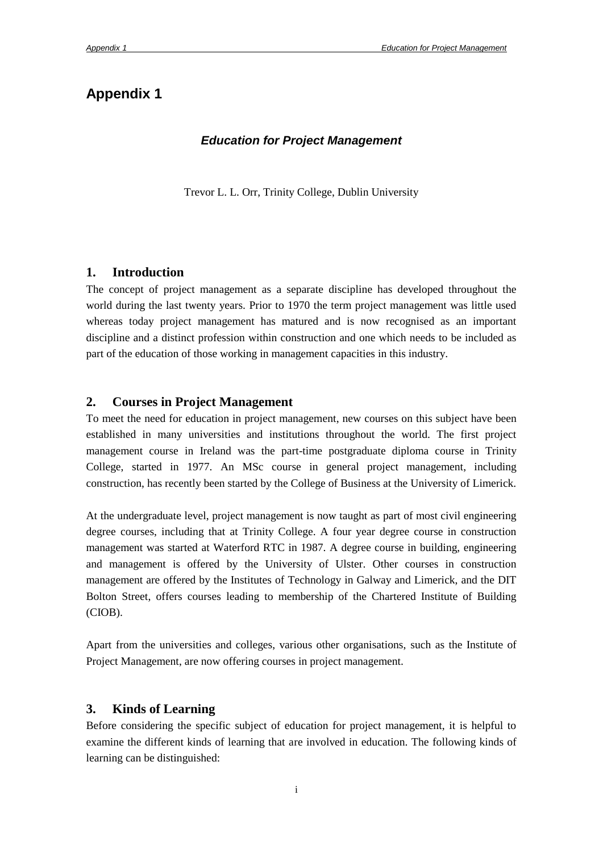# **Appendix 1**

#### *Education for Project Management*

Trevor L. L. Orr, Trinity College, Dublin University

#### **1. Introduction**

The concept of project management as a separate discipline has developed throughout the world during the last twenty years. Prior to 1970 the term project management was little used whereas today project management has matured and is now recognised as an important discipline and a distinct profession within construction and one which needs to be included as part of the education of those working in management capacities in this industry.

#### **2. Courses in Project Management**

To meet the need for education in project management, new courses on this subject have been established in many universities and institutions throughout the world. The first project management course in Ireland was the part-time postgraduate diploma course in Trinity College, started in 1977. An MSc course in general project management, including construction, has recently been started by the College of Business at the University of Limerick.

At the undergraduate level, project management is now taught as part of most civil engineering degree courses, including that at Trinity College. A four year degree course in construction management was started at Waterford RTC in 1987. A degree course in building, engineering and management is offered by the University of Ulster. Other courses in construction management are offered by the Institutes of Technology in Galway and Limerick, and the DIT Bolton Street, offers courses leading to membership of the Chartered Institute of Building (CIOB).

Apart from the universities and colleges, various other organisations, such as the Institute of Project Management, are now offering courses in project management.

#### **3. Kinds of Learning**

Before considering the specific subject of education for project management, it is helpful to examine the different kinds of learning that are involved in education. The following kinds of learning can be distinguished: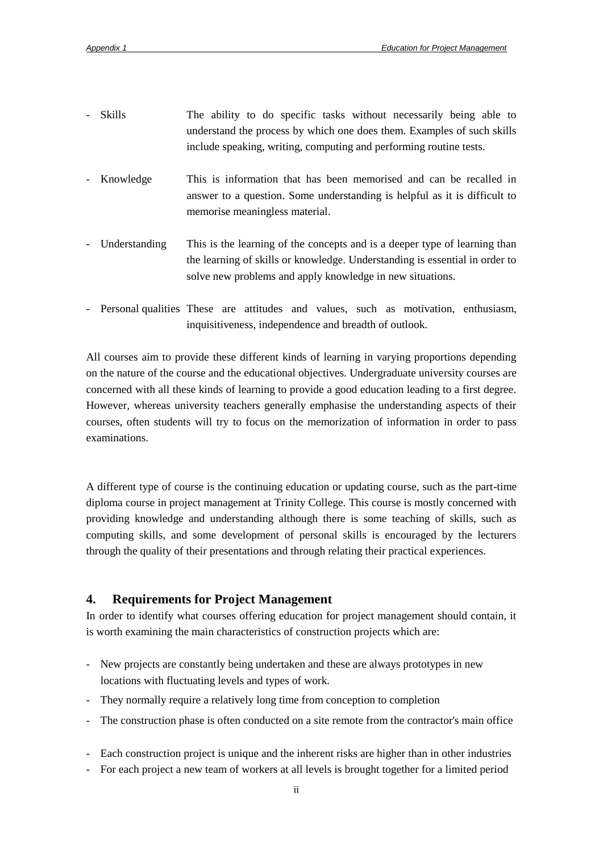- Skills The ability to do specific tasks without necessarily being able to understand the process by which one does them. Examples of such skills include speaking, writing, computing and performing routine tests.
- Knowledge This is information that has been memorised and can be recalled in answer to a question. Some understanding is helpful as it is difficult to memorise meaningless material.
- Understanding This is the learning of the concepts and is a deeper type of learning than the learning of skills or knowledge. Understanding is essential in order to solve new problems and apply knowledge in new situations.
- Personal qualities These are attitudes and values, such as motivation, enthusiasm, inquisitiveness, independence and breadth of outlook.

All courses aim to provide these different kinds of learning in varying proportions depending on the nature of the course and the educational objectives. Undergraduate university courses are concerned with all these kinds of learning to provide a good education leading to a first degree. However, whereas university teachers generally emphasise the understanding aspects of their courses, often students will try to focus on the memorization of information in order to pass examinations.

A different type of course is the continuing education or updating course, such as the part-time diploma course in project management at Trinity College. This course is mostly concerned with providing knowledge and understanding although there is some teaching of skills, such as computing skills, and some development of personal skills is encouraged by the lecturers through the quality of their presentations and through relating their practical experiences.

#### **4. Requirements for Project Management**

In order to identify what courses offering education for project management should contain, it is worth examining the main characteristics of construction projects which are:

- New projects are constantly being undertaken and these are always prototypes in new locations with fluctuating levels and types of work.
- They normally require a relatively long time from conception to completion
- The construction phase is often conducted on a site remote from the contractor's main office
- Each construction project is unique and the inherent risks are higher than in other industries
- For each project a new team of workers at all levels is brought together for a limited period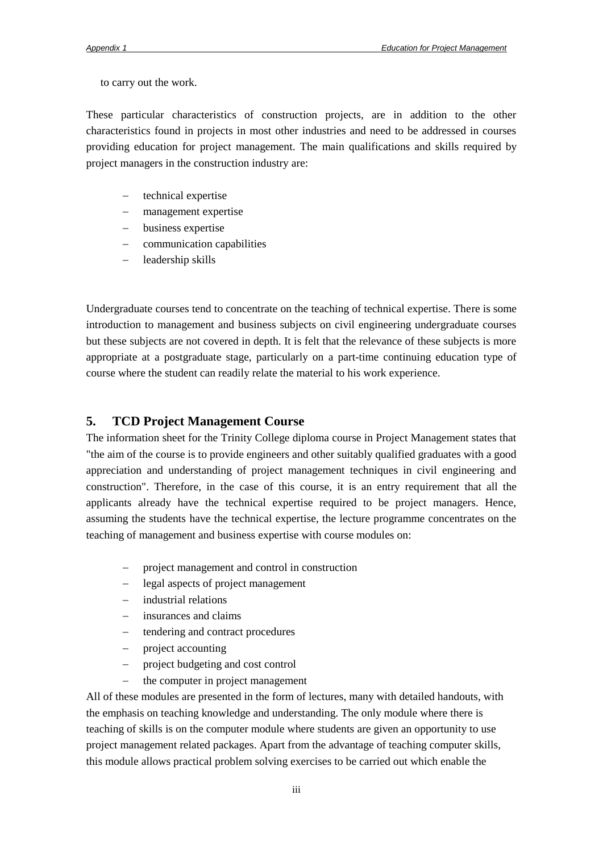to carry out the work.

These particular characteristics of construction projects, are in addition to the other characteristics found in projects in most other industries and need to be addressed in courses providing education for project management. The main qualifications and skills required by project managers in the construction industry are:

- technical expertise
- management expertise
- business expertise
- communication capabilities
- leadership skills

Undergraduate courses tend to concentrate on the teaching of technical expertise. There is some introduction to management and business subjects on civil engineering undergraduate courses but these subjects are not covered in depth. It is felt that the relevance of these subjects is more appropriate at a postgraduate stage, particularly on a part-time continuing education type of course where the student can readily relate the material to his work experience.

#### **5. TCD Project Management Course**

The information sheet for the Trinity College diploma course in Project Management states that "the aim of the course is to provide engineers and other suitably qualified graduates with a good appreciation and understanding of project management techniques in civil engineering and construction". Therefore, in the case of this course, it is an entry requirement that all the applicants already have the technical expertise required to be project managers. Hence, assuming the students have the technical expertise, the lecture programme concentrates on the teaching of management and business expertise with course modules on:

- project management and control in construction
- legal aspects of project management
- industrial relations
- insurances and claims
- tendering and contract procedures
- project accounting
- project budgeting and cost control
- the computer in project management

All of these modules are presented in the form of lectures, many with detailed handouts, with the emphasis on teaching knowledge and understanding. The only module where there is teaching of skills is on the computer module where students are given an opportunity to use project management related packages. Apart from the advantage of teaching computer skills, this module allows practical problem solving exercises to be carried out which enable the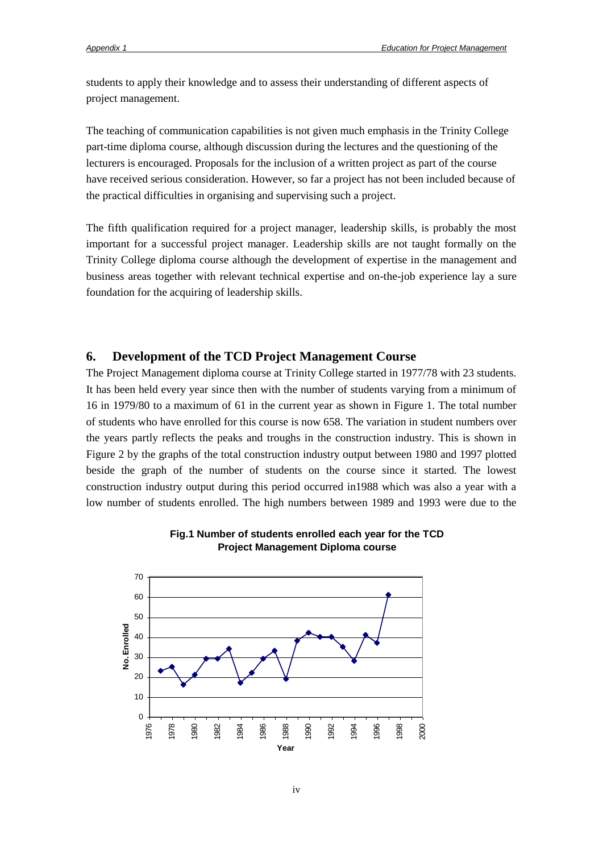students to apply their knowledge and to assess their understanding of different aspects of project management.

The teaching of communication capabilities is not given much emphasis in the Trinity College part-time diploma course, although discussion during the lectures and the questioning of the lecturers is encouraged. Proposals for the inclusion of a written project as part of the course have received serious consideration. However, so far a project has not been included because of the practical difficulties in organising and supervising such a project.

The fifth qualification required for a project manager, leadership skills, is probably the most important for a successful project manager. Leadership skills are not taught formally on the Trinity College diploma course although the development of expertise in the management and business areas together with relevant technical expertise and on-the-job experience lay a sure foundation for the acquiring of leadership skills.

#### **6. Development of the TCD Project Management Course**

The Project Management diploma course at Trinity College started in 1977/78 with 23 students. It has been held every year since then with the number of students varying from a minimum of 16 in 1979/80 to a maximum of 61 in the current year as shown in Figure 1. The total number of students who have enrolled for this course is now 658*.* The variation in student numbers over the years partly reflects the peaks and troughs in the construction industry. This is shown in Figure 2 by the graphs of the total construction industry output between 1980 and 1997 plotted beside the graph of the number of students on the course since it started. The lowest construction industry output during this period occurred in1988 which was also a year with a low number of students enrolled. The high numbers between 1989 and 1993 were due to the



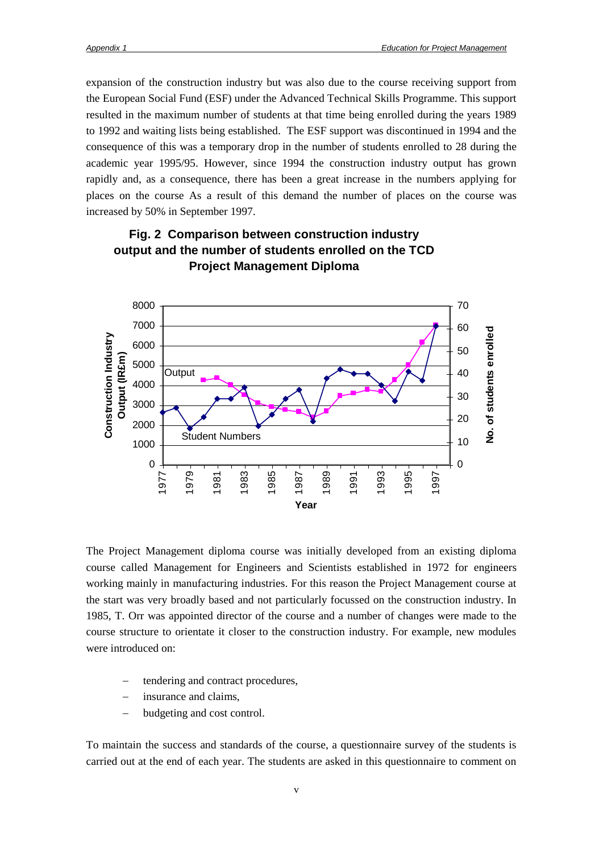expansion of the construction industry but was also due to the course receiving support from the European Social Fund (ESF) under the Advanced Technical Skills Programme. This support resulted in the maximum number of students at that time being enrolled during the years 1989 to 1992 and waiting lists being established. The ESF support was discontinued in 1994 and the consequence of this was a temporary drop in the number of students enrolled to 28 during the academic year 1995/95. However, since 1994 the construction industry output has grown rapidly and, as a consequence, there has been a great increase in the numbers applying for places on the course As a result of this demand the number of places on the course was increased by 50% in September 1997.



### **Fig. 2 Comparison between construction industry output and the number of students enrolled on the TCD Project Management Diploma**

The Project Management diploma course was initially developed from an existing diploma course called Management for Engineers and Scientists established in 1972 for engineers working mainly in manufacturing industries. For this reason the Project Management course at the start was very broadly based and not particularly focussed on the construction industry. In 1985, T. Orr was appointed director of the course and a number of changes were made to the course structure to orientate it closer to the construction industry. For example, new modules were introduced on:

- tendering and contract procedures,
- insurance and claims,
- budgeting and cost control.

To maintain the success and standards of the course, a questionnaire survey of the students is carried out at the end of each year. The students are asked in this questionnaire to comment on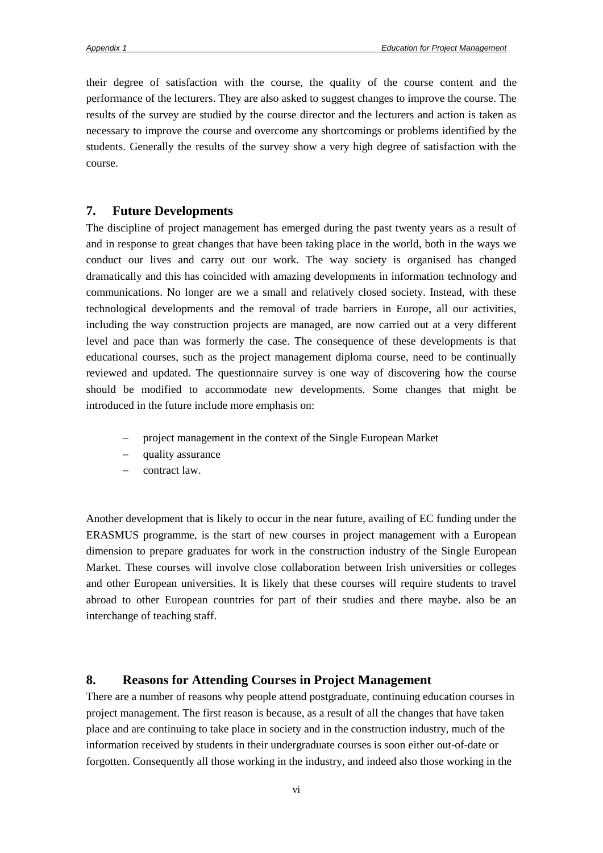their degree of satisfaction with the course, the quality of the course content and the performance of the lecturers. They are also asked to suggest changes to improve the course. The results of the survey are studied by the course director and the lecturers and action is taken as necessary to improve the course and overcome any shortcomings or problems identified by the students. Generally the results of the survey show a very high degree of satisfaction with the course.

#### **7. Future Developments**

The discipline of project management has emerged during the past twenty years as a result of and in response to great changes that have been taking place in the world, both in the ways we conduct our lives and carry out our work. The way society is organised has changed dramatically and this has coincided with amazing developments in information technology and communications. No longer are we a small and relatively closed society. Instead, with these technological developments and the removal of trade barriers in Europe, all our activities, including the way construction projects are managed, are now carried out at a very different level and pace than was formerly the case. The consequence of these developments is that educational courses, such as the project management diploma course, need to be continually reviewed and updated. The questionnaire survey is one way of discovering how the course should be modified to accommodate new developments. Some changes that might be introduced in the future include more emphasis on:

- project management in the context of the Single European Market
- quality assurance
- contract law.

Another development that is likely to occur in the near future, availing of EC funding under the ERASMUS programme, is the start of new courses in project management with a European dimension to prepare graduates for work in the construction industry of the Single European Market. These courses will involve close collaboration between Irish universities or colleges and other European universities. It is likely that these courses will require students to travel abroad to other European countries for part of their studies and there maybe. also be an interchange of teaching staff.

#### **8. Reasons for Attending Courses in Project Management**

There are a number of reasons why people attend postgraduate, continuing education courses in project management. The first reason is because, as a result of all the changes that have taken place and are continuing to take place in society and in the construction industry, much of the information received by students in their undergraduate courses is soon either out-of-date or forgotten. Consequently all those working in the industry, and indeed also those working in the